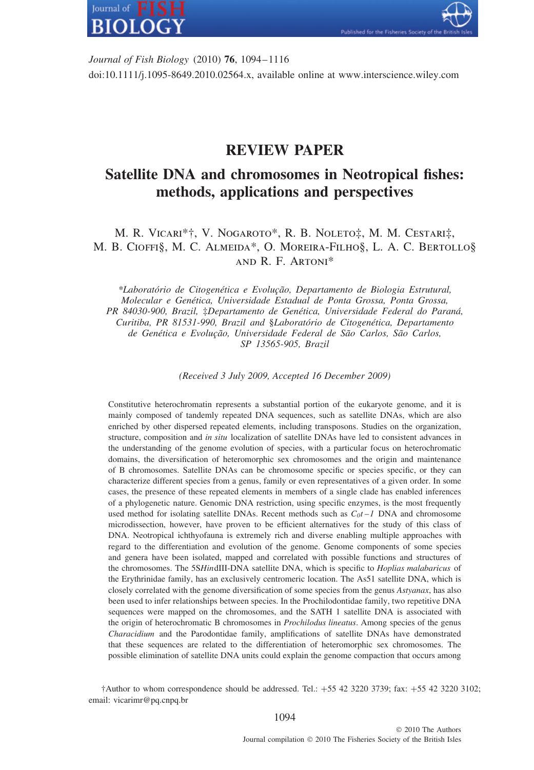

*Journal of Fish Biology* (2010) **76**, 1094–1116 doi:10.1111/j.1095-8649.2010.02564.x, available online at www.interscience.wiley.com

lished for the Fisheries Society

## **REVIEW PAPER**

# **Satellite DNA and chromosomes in Neotropical fishes: methods, applications and perspectives**

## M. R. Vicari\*†, V. Nogaroto\*, R. B. Noleto‡, M. M. Cestari‡, M. B. Cioffi§, M. C. Almeida\*, O. Moreira-Filho§, L. A. C. Bertollo§ and R. F. Artoni\*

*\*Laborat´orio de Citogen´etica e Evolu¸c˜ao, Departamento de Biologia Estrutural, Molecular e Gen´etica, Universidade Estadual de Ponta Grossa, Ponta Grossa, PR 84030-900, Brazil,* ‡*Departamento de Gen´etica, Universidade Federal do Paran´a, Curitiba, PR 81531-990, Brazil and* §*Laborat´orio de Citogen´etica, Departamento* de Genética e Evolução, Universidade Federal de São Carlos, São Carlos, *SP 13565-905, Brazil*

*(Received 3 July 2009, Accepted 16 December 2009)*

Constitutive heterochromatin represents a substantial portion of the eukaryote genome, and it is mainly composed of tandemly repeated DNA sequences, such as satellite DNAs, which are also enriched by other dispersed repeated elements, including transposons. Studies on the organization, structure, composition and *in situ* localization of satellite DNAs have led to consistent advances in the understanding of the genome evolution of species, with a particular focus on heterochromatic domains, the diversification of heteromorphic sex chromosomes and the origin and maintenance of B chromosomes. Satellite DNAs can be chromosome specific or species specific, or they can characterize different species from a genus, family or even representatives of a given order. In some cases, the presence of these repeated elements in members of a single clade has enabled inferences of a phylogenetic nature. Genomic DNA restriction, using specific enzymes, is the most frequently used method for isolating satellite DNAs. Recent methods such as  $C_0t - 1$  DNA and chromosome microdissection, however, have proven to be efficient alternatives for the study of this class of DNA. Neotropical ichthyofauna is extremely rich and diverse enabling multiple approaches with regard to the differentiation and evolution of the genome. Genome components of some species and genera have been isolated, mapped and correlated with possible functions and structures of the chromosomes. The 5S*Hin*dIII-DNA satellite DNA, which is specific to *Hoplias malabaricus* of the Erythrinidae family, has an exclusively centromeric location. The As51 satellite DNA, which is closely correlated with the genome diversification of some species from the genus *Astyanax*, has also been used to infer relationships between species. In the Prochilodontidae family, two repetitive DNA sequences were mapped on the chromosomes, and the SATH 1 satellite DNA is associated with the origin of heterochromatic B chromosomes in *Prochilodus lineatus*. Among species of the genus *Characidium* and the Parodontidae family, amplifications of satellite DNAs have demonstrated that these sequences are related to the differentiation of heteromorphic sex chromosomes. The possible elimination of satellite DNA units could explain the genome compaction that occurs among

 $\dagger$ Author to whom correspondence should be addressed. Tel.:  $+55$  42 3220 3739; fax:  $+55$  42 3220 3102; email: vicarimr@pq.cnpq.br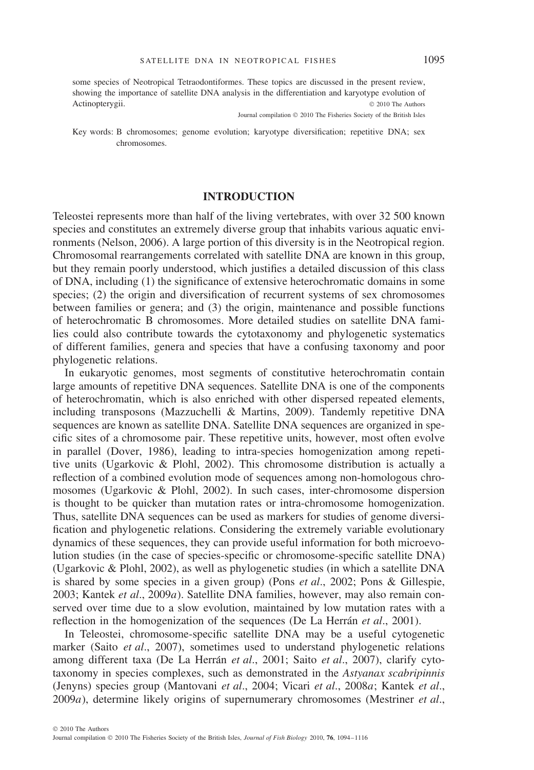some species of Neotropical Tetraodontiformes. These topics are discussed in the present review, showing the importance of satellite DNA analysis in the differentiation and karyotype evolution of Actinopterygii. © 2010 The Authors

Journal compilation © 2010 The Fisheries Society of the British Isles

Key words: B chromosomes; genome evolution; karyotype diversification; repetitive DNA; sex chromosomes.

## **INTRODUCTION**

Teleostei represents more than half of the living vertebrates, with over 32 500 known species and constitutes an extremely diverse group that inhabits various aquatic environments (Nelson, 2006). A large portion of this diversity is in the Neotropical region. Chromosomal rearrangements correlated with satellite DNA are known in this group, but they remain poorly understood, which justifies a detailed discussion of this class of DNA, including (1) the significance of extensive heterochromatic domains in some species; (2) the origin and diversification of recurrent systems of sex chromosomes between families or genera; and (3) the origin, maintenance and possible functions of heterochromatic B chromosomes. More detailed studies on satellite DNA families could also contribute towards the cytotaxonomy and phylogenetic systematics of different families, genera and species that have a confusing taxonomy and poor phylogenetic relations.

In eukaryotic genomes, most segments of constitutive heterochromatin contain large amounts of repetitive DNA sequences. Satellite DNA is one of the components of heterochromatin, which is also enriched with other dispersed repeated elements, including transposons (Mazzuchelli & Martins, 2009). Tandemly repetitive DNA sequences are known as satellite DNA. Satellite DNA sequences are organized in specific sites of a chromosome pair. These repetitive units, however, most often evolve in parallel (Dover, 1986), leading to intra-species homogenization among repetitive units (Ugarkovic & Plohl, 2002). This chromosome distribution is actually a reflection of a combined evolution mode of sequences among non-homologous chromosomes (Ugarkovic & Plohl, 2002). In such cases, inter-chromosome dispersion is thought to be quicker than mutation rates or intra-chromosome homogenization. Thus, satellite DNA sequences can be used as markers for studies of genome diversification and phylogenetic relations. Considering the extremely variable evolutionary dynamics of these sequences, they can provide useful information for both microevolution studies (in the case of species-specific or chromosome-specific satellite DNA) (Ugarkovic & Plohl, 2002), as well as phylogenetic studies (in which a satellite DNA is shared by some species in a given group) (Pons *et al*., 2002; Pons & Gillespie, 2003; Kantek *et al*., 2009*a*). Satellite DNA families, however, may also remain conserved over time due to a slow evolution, maintained by low mutation rates with a reflection in the homogenization of the sequences (De La Herrán *et al.*, 2001).

In Teleostei, chromosome-specific satellite DNA may be a useful cytogenetic marker (Saito *et al*., 2007), sometimes used to understand phylogenetic relations among different taxa (De La Herrán *et al.*, 2001; Saito *et al.*, 2007), clarify cytotaxonomy in species complexes, such as demonstrated in the *Astyanax scabripinnis* (Jenyns) species group (Mantovani *et al*., 2004; Vicari *et al*., 2008*a*; Kantek *et al*., 2009*a*), determine likely origins of supernumerary chromosomes (Mestriner *et al*.,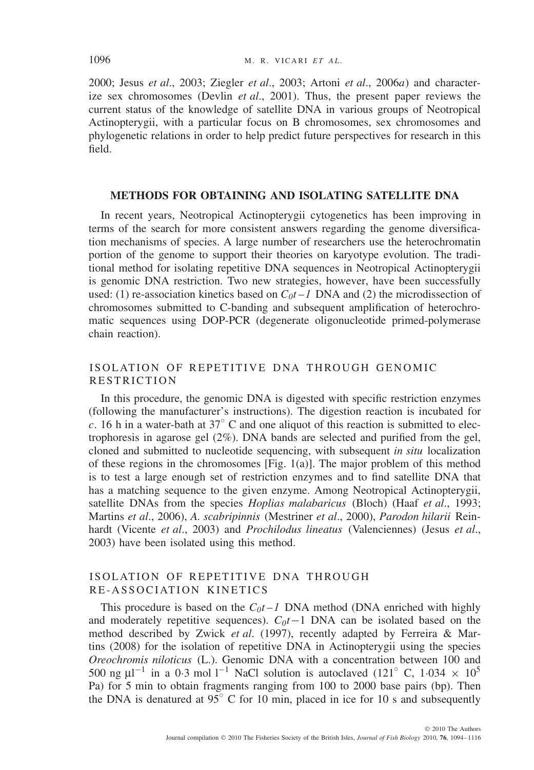2000; Jesus *et al*., 2003; Ziegler *et al*., 2003; Artoni *et al*., 2006*a*) and characterize sex chromosomes (Devlin *et al*., 2001). Thus, the present paper reviews the current status of the knowledge of satellite DNA in various groups of Neotropical Actinopterygii, with a particular focus on B chromosomes, sex chromosomes and phylogenetic relations in order to help predict future perspectives for research in this field.

#### **METHODS FOR OBTAINING AND ISOLATING SATELLITE DNA**

In recent years, Neotropical Actinopterygii cytogenetics has been improving in terms of the search for more consistent answers regarding the genome diversification mechanisms of species. A large number of researchers use the heterochromatin portion of the genome to support their theories on karyotype evolution. The traditional method for isolating repetitive DNA sequences in Neotropical Actinopterygii is genomic DNA restriction. Two new strategies, however, have been successfully used: (1) re-association kinetics based on  $C_0t - 1$  DNA and (2) the microdissection of chromosomes submitted to C-banding and subsequent amplification of heterochromatic sequences using DOP-PCR (degenerate oligonucleotide primed-polymerase chain reaction).

## ISOLATION OF REPETITIVE DNA THROUGH GENOMIC RESTRICTION

In this procedure, the genomic DNA is digested with specific restriction enzymes (following the manufacturer's instructions). The digestion reaction is incubated for *c.* 16 h in a water-bath at  $37^\circ$  C and one aliquot of this reaction is submitted to electrophoresis in agarose gel  $(2\%)$ . DNA bands are selected and purified from the gel, cloned and submitted to nucleotide sequencing, with subsequent *in situ* localization of these regions in the chromosomes [Fig. 1(a)]. The major problem of this method is to test a large enough set of restriction enzymes and to find satellite DNA that has a matching sequence to the given enzyme. Among Neotropical Actinopterygii, satellite DNAs from the species *Hoplias malabaricus* (Bloch) (Haaf *et al*., 1993; Martins *et al*., 2006), *A. scabripinnis* (Mestriner *et al*., 2000), *Parodon hilarii* Reinhardt (Vicente *et al*., 2003) and *Prochilodus lineatus* (Valenciennes) (Jesus *et al*., 2003) have been isolated using this method.

#### ISOLATION OF REPETITIVE DNA THROUGH RE-ASSOCIATION KINETICS

This procedure is based on the  $C_0t - I$  DNA method (DNA enriched with highly and moderately repetitive sequences).  $C_0t-1$  DNA can be isolated based on the method described by Zwick *et al*. (1997), recently adapted by Ferreira & Martins (2008) for the isolation of repetitive DNA in Actinopterygii using the species *Oreochromis niloticus* (L.). Genomic DNA with a concentration between 100 and 500 ng  $\mu$ l<sup>-1</sup> in a 0·3 mol l<sup>-1</sup> NaCl solution is autoclaved (121<sup>°</sup> C, 1·034  $\times$  10<sup>5</sup> Pa) for 5 min to obtain fragments ranging from 100 to 2000 base pairs (bp). Then the DNA is denatured at 95◦ C for 10 min, placed in ice for 10 s and subsequently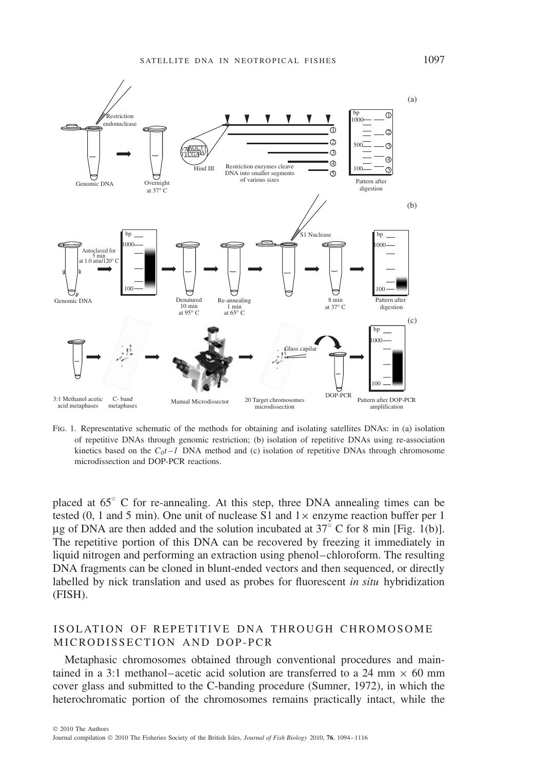

Fig. 1. Representative schematic of the methods for obtaining and isolating satellites DNAs: in (a) isolation of repetitive DNAs through genomic restriction; (b) isolation of repetitive DNAs using re-association kinetics based on the  $C_0t - I$  DNA method and (c) isolation of repetitive DNAs through chromosome microdissection and DOP-PCR reactions.

placed at 65◦ C for re-annealing. At this step, three DNA annealing times can be tested (0, 1 and 5 min). One unit of nuclease S1 and  $1 \times$  enzyme reaction buffer per 1 μg of DNA are then added and the solution incubated at 37◦ C for 8 min [Fig. 1(b)]. The repetitive portion of this DNA can be recovered by freezing it immediately in liquid nitrogen and performing an extraction using phenol–chloroform. The resulting DNA fragments can be cloned in blunt-ended vectors and then sequenced, or directly labelled by nick translation and used as probes for fluorescent *in situ* hybridization (FISH).

## ISOLATION OF REPETITIVE DNA THROUGH CHROMOSOME MICRODISSECTION AND DOP-PCR

Metaphasic chromosomes obtained through conventional procedures and maintained in a 3:1 methanol–acetic acid solution are transferred to a 24 mm  $\times$  60 mm cover glass and submitted to the C-banding procedure (Sumner, 1972), in which the heterochromatic portion of the chromosomes remains practically intact, while the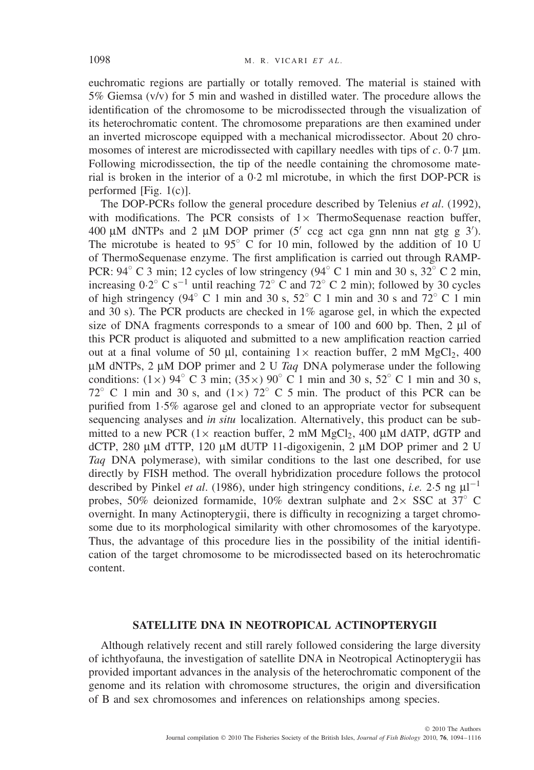euchromatic regions are partially or totally removed. The material is stained with 5% Giemsa (v/v) for 5 min and washed in distilled water. The procedure allows the identification of the chromosome to be microdissected through the visualization of its heterochromatic content. The chromosome preparations are then examined under an inverted microscope equipped with a mechanical microdissector. About 20 chromosomes of interest are microdissected with capillary needles with tips of *c.* 0·7 μm. Following microdissection, the tip of the needle containing the chromosome material is broken in the interior of a 0·2 ml microtube, in which the first DOP-PCR is performed [Fig. 1(c)].

The DOP-PCRs follow the general procedure described by Telenius *et al*. (1992), with modifications. The PCR consists of  $1 \times$  ThermoSequenase reaction buffer, 400 μM dNTPs and 2 μM DOP primer (5' ccg act cga gnn nnn nat gtg g 3'). The microtube is heated to  $95^\circ$  C for 10 min, followed by the addition of 10 U of ThermoSequenase enzyme. The first amplification is carried out through RAMP-PCR:  $94^\circ$  C 3 min; 12 cycles of low stringency  $(94^\circ$  C 1 min and 30 s, 32 $^\circ$  C 2 min, increasing  $0.2^\circ$  C s<sup>-1</sup> until reaching  $72^\circ$  C and  $72^\circ$  C 2 min); followed by 30 cycles of high stringency (94 $\degree$  C 1 min and 30 s, 52 $\degree$  C 1 min and 30 s and 72 $\degree$  C 1 min and 30 s). The PCR products are checked in 1% agarose gel, in which the expected size of DNA fragments corresponds to a smear of 100 and 600 bp. Then, 2 μl of this PCR product is aliquoted and submitted to a new amplification reaction carried out at a final volume of 50 μl, containing  $1 \times$  reaction buffer, 2 mM MgCl<sub>2</sub>, 400 μM dNTPs, 2 μM DOP primer and 2 U *Taq* DNA polymerase under the following conditions:  $(1 \times)$  94° C 3 min;  $(35 \times)$  90° C 1 min and 30 s,  $52^{\circ}$  C 1 min and 30 s, 72 $\degree$  C 1 min and 30 s, and (1×) 72 $\degree$  C 5 min. The product of this PCR can be purified from 1·5% agarose gel and cloned to an appropriate vector for subsequent sequencing analyses and *in situ* localization. Alternatively, this product can be submitted to a new PCR ( $1 \times$  reaction buffer, 2 mM MgCl<sub>2</sub>, 400  $\mu$ M dATP, dGTP and dCTP, 280 μM dTTP, 120 μM dUTP 11-digoxigenin, 2 μM DOP primer and 2 U *Taq* DNA polymerase), with similar conditions to the last one described, for use directly by FISH method. The overall hybridization procedure follows the protocol described by Pinkel *et al.* (1986), under high stringency conditions, *i.e.* 2.5 ng  $\mu$ <sup>-1</sup> probes, 50% deionized formamide, 10% dextran sulphate and  $2\times$  SSC at 37° C overnight. In many Actinopterygii, there is difficulty in recognizing a target chromosome due to its morphological similarity with other chromosomes of the karyotype. Thus, the advantage of this procedure lies in the possibility of the initial identification of the target chromosome to be microdissected based on its heterochromatic content.

#### **SATELLITE DNA IN NEOTROPICAL ACTINOPTERYGII**

Although relatively recent and still rarely followed considering the large diversity of ichthyofauna, the investigation of satellite DNA in Neotropical Actinopterygii has provided important advances in the analysis of the heterochromatic component of the genome and its relation with chromosome structures, the origin and diversification of B and sex chromosomes and inferences on relationships among species.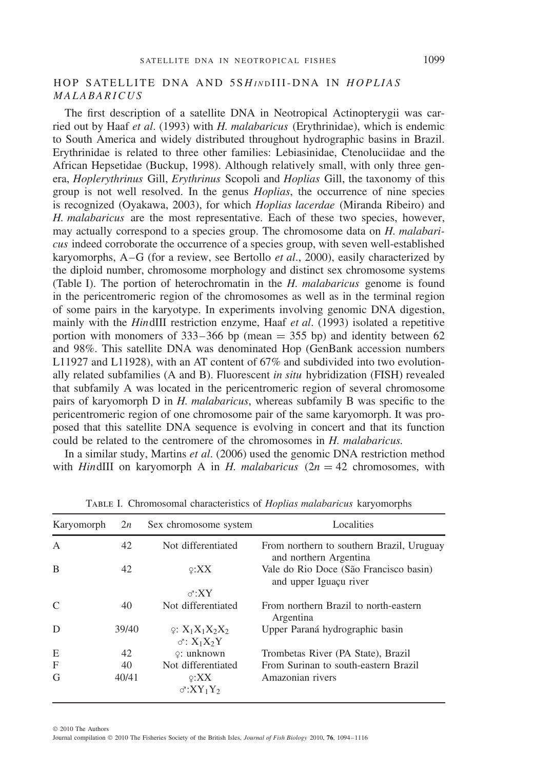## HOP SATELLITE DNA AND 5S*H I N* <sup>D</sup> III-DNA IN *HOPLIAS MALABARICUS*

The first description of a satellite DNA in Neotropical Actinopterygii was carried out by Haaf *et al*. (1993) with *H. malabaricus* (Erythrinidae), which is endemic to South America and widely distributed throughout hydrographic basins in Brazil. Erythrinidae is related to three other families: Lebiasinidae, Ctenoluciidae and the African Hepsetidae (Buckup, 1998). Although relatively small, with only three genera, *Hoplerythrinus* Gill, *Erythrinus* Scopoli and *Hoplias* Gill, the taxonomy of this group is not well resolved. In the genus *Hoplias*, the occurrence of nine species is recognized (Oyakawa, 2003), for which *Hoplias lacerdae* (Miranda Ribeiro) and *H. malabaricus* are the most representative. Each of these two species, however, may actually correspond to a species group. The chromosome data on *H. malabaricus* indeed corroborate the occurrence of a species group, with seven well-established karyomorphs, A–G (for a review, see Bertollo *et al*., 2000), easily characterized by the diploid number, chromosome morphology and distinct sex chromosome systems (Table I). The portion of heterochromatin in the *H. malabaricus* genome is found in the pericentromeric region of the chromosomes as well as in the terminal region of some pairs in the karyotype. In experiments involving genomic DNA digestion, mainly with the *Hin*dIII restriction enzyme, Haaf *et al*. (1993) isolated a repetitive portion with monomers of  $333-366$  bp (mean = 355 bp) and identity between 62 and 98%. This satellite DNA was denominated Hop (GenBank accession numbers L11927 and L11928), with an AT content of 67% and subdivided into two evolutionally related subfamilies (A and B). Fluorescent *in situ* hybridization (FISH) revealed that subfamily A was located in the pericentromeric region of several chromosome pairs of karyomorph D in *H. malabaricus*, whereas subfamily B was specific to the pericentromeric region of one chromosome pair of the same karyomorph. It was proposed that this satellite DNA sequence is evolving in concert and that its function could be related to the centromere of the chromosomes in *H. malabaricus.*

In a similar study, Martins *et al*. (2006) used the genomic DNA restriction method with *HindIII* on karyomorph A in *H. malabaricus*  $(2n = 42)$  chromosomes, with

| Karyomorph    | 2n    | Sex chromosome system                                     | Localities                                                          |
|---------------|-------|-----------------------------------------------------------|---------------------------------------------------------------------|
| A             | 42    | Not differentiated                                        | From northern to southern Brazil, Uruguay<br>and northern Argentina |
| B             | 42    | $\varphi$ :XX<br>$\sigma$ :XY                             | Vale do Rio Doce (São Francisco basin)<br>and upper Iguaçu river    |
| $\mathcal{C}$ | 40    | Not differentiated                                        | From northern Brazil to north-eastern<br>Argentina                  |
| D             | 39/40 | $\varphi: X_1X_1X_2X_2$<br>$\sigma$ : $X_1X_2Y$           | Upper Paraná hydrographic basin                                     |
| E             | 42    | $\varphi$ : unknown                                       | Trombetas River (PA State), Brazil                                  |
| F             | 40    | Not differentiated                                        | From Surinan to south-eastern Brazil                                |
| G             | 40/41 | $\varphi$ :XX<br>$\sigma$ :XY <sub>1</sub> Y <sub>2</sub> | Amazonian rivers                                                    |

Table I. Chromosomal characteristics of *Hoplias malabaricus* karyomorphs

© 2010 The Authors

Journal compilation © 2010 The Fisheries Society of the British Isles, *Journal of Fish Biology* 2010, **76**, 1094–1116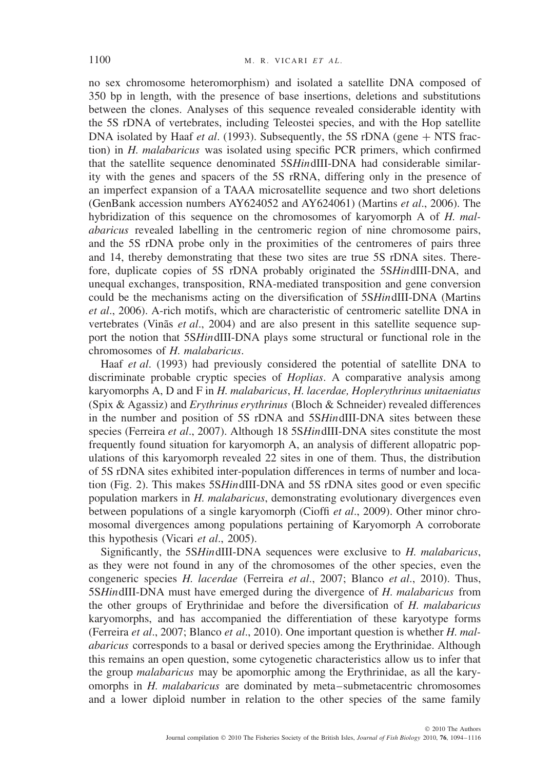no sex chromosome heteromorphism) and isolated a satellite DNA composed of 350 bp in length, with the presence of base insertions, deletions and substitutions between the clones. Analyses of this sequence revealed considerable identity with the 5S rDNA of vertebrates, including Teleostei species, and with the Hop satellite DNA isolated by Haaf *et al*. (1993). Subsequently, the 5S rDNA (gene + NTS fraction) in *H. malabaricus* was isolated using specific PCR primers, which confirmed that the satellite sequence denominated 5S*Hin*dIII-DNA had considerable similarity with the genes and spacers of the 5S rRNA, differing only in the presence of an imperfect expansion of a TAAA microsatellite sequence and two short deletions (GenBank accession numbers AY624052 and AY624061) (Martins *et al*., 2006). The hybridization of this sequence on the chromosomes of karyomorph A of *H. malabaricus* revealed labelling in the centromeric region of nine chromosome pairs, and the 5S rDNA probe only in the proximities of the centromeres of pairs three and 14, thereby demonstrating that these two sites are true 5S rDNA sites. Therefore, duplicate copies of 5S rDNA probably originated the 5S*Hin*dIII-DNA, and unequal exchanges, transposition, RNA-mediated transposition and gene conversion could be the mechanisms acting on the diversification of 5S*Hin*dIII-DNA (Martins *et al*., 2006). A-rich motifs, which are characteristic of centromeric satellite DNA in vertebrates (Vinãs *et al.*, 2004) and are also present in this satellite sequence support the notion that 5S*Hin*dIII-DNA plays some structural or functional role in the chromosomes of *H. malabaricus*.

Haaf *et al*. (1993) had previously considered the potential of satellite DNA to discriminate probable cryptic species of *Hoplias*. A comparative analysis among karyomorphs A, D and F in *H. malabaricus*, *H. lacerdae, Hoplerythrinus unitaeniatus* (Spix & Agassiz) and *Erythrinus erythrinus* (Bloch & Schneider) revealed differences in the number and position of 5S rDNA and 5S*Hin*dIII-DNA sites between these species (Ferreira *et al*., 2007). Although 18 5S*Hin*dIII-DNA sites constitute the most frequently found situation for karyomorph A, an analysis of different allopatric populations of this karyomorph revealed 22 sites in one of them. Thus, the distribution of 5S rDNA sites exhibited inter-population differences in terms of number and location (Fig. 2). This makes 5S*Hin*dIII-DNA and 5S rDNA sites good or even specific population markers in *H. malabaricus*, demonstrating evolutionary divergences even between populations of a single karyomorph (Cioffi *et al*., 2009). Other minor chromosomal divergences among populations pertaining of Karyomorph A corroborate this hypothesis (Vicari *et al*., 2005).

Significantly, the 5S*Hin*dIII-DNA sequences were exclusive to *H. malabaricus*, as they were not found in any of the chromosomes of the other species, even the congeneric species *H. lacerdae* (Ferreira *et al*., 2007; Blanco *et al*., 2010). Thus, 5S*Hin*dIII-DNA must have emerged during the divergence of *H. malabaricus* from the other groups of Erythrinidae and before the diversification of *H. malabaricus* karyomorphs, and has accompanied the differentiation of these karyotype forms (Ferreira *et al*., 2007; Blanco *et al*., 2010). One important question is whether *H. malabaricus* corresponds to a basal or derived species among the Erythrinidae. Although this remains an open question, some cytogenetic characteristics allow us to infer that the group *malabaricus* may be apomorphic among the Erythrinidae, as all the karyomorphs in *H. malabaricus* are dominated by meta–submetacentric chromosomes and a lower diploid number in relation to the other species of the same family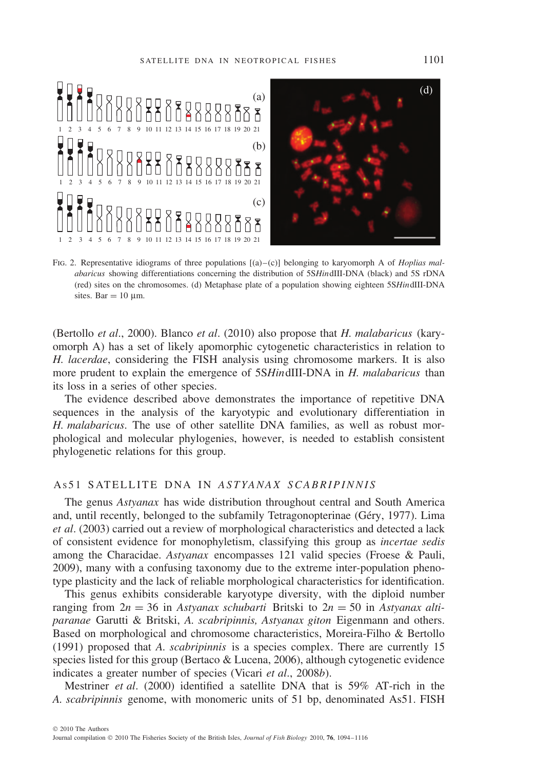

Fig. 2. Representative idiograms of three populations [(a)–(c)] belonging to karyomorph A of *Hoplias malabaricus* showing differentiations concerning the distribution of 5S*Hin*dIII-DNA (black) and 5S rDNA (red) sites on the chromosomes. (d) Metaphase plate of a population showing eighteen 5S*Hin*dIII-DNA sites. Bar =  $10 \mu$ m.

(Bertollo *et al*., 2000). Blanco *et al*. (2010) also propose that *H. malabaricus* (karyomorph A) has a set of likely apomorphic cytogenetic characteristics in relation to *H. lacerdae*, considering the FISH analysis using chromosome markers. It is also more prudent to explain the emergence of 5S*Hin*dIII-DNA in *H. malabaricus* than its loss in a series of other species.

The evidence described above demonstrates the importance of repetitive DNA sequences in the analysis of the karyotypic and evolutionary differentiation in *H. malabaricus*. The use of other satellite DNA families, as well as robust morphological and molecular phylogenies, however, is needed to establish consistent phylogenetic relations for this group.

## AS 51 SATELLITE DNA IN *ASTYANAX SCABRIPINNIS*

The genus *Astyanax* has wide distribution throughout central and South America and, until recently, belonged to the subfamily Tetragonopterinae (Gery, 1977). Lima ´ *et al*. (2003) carried out a review of morphological characteristics and detected a lack of consistent evidence for monophyletism, classifying this group as *incertae sedis* among the Characidae. *Astyanax* encompasses 121 valid species (Froese & Pauli, 2009), many with a confusing taxonomy due to the extreme inter-population phenotype plasticity and the lack of reliable morphological characteristics for identification.

This genus exhibits considerable karyotype diversity, with the diploid number ranging from  $2n = 36$  in *Astyanax schubarti* Britski to  $2n = 50$  in *Astyanax altiparanae* Garutti & Britski, *A. scabripinnis, Astyanax giton* Eigenmann and others. Based on morphological and chromosome characteristics, Moreira-Filho & Bertollo (1991) proposed that *A. scabripinnis* is a species complex. There are currently 15 species listed for this group (Bertaco & Lucena, 2006), although cytogenetic evidence indicates a greater number of species (Vicari *et al*., 2008*b*).

Mestriner *et al*. (2000) identified a satellite DNA that is 59% AT-rich in the *A. scabripinnis* genome, with monomeric units of 51 bp, denominated As51. FISH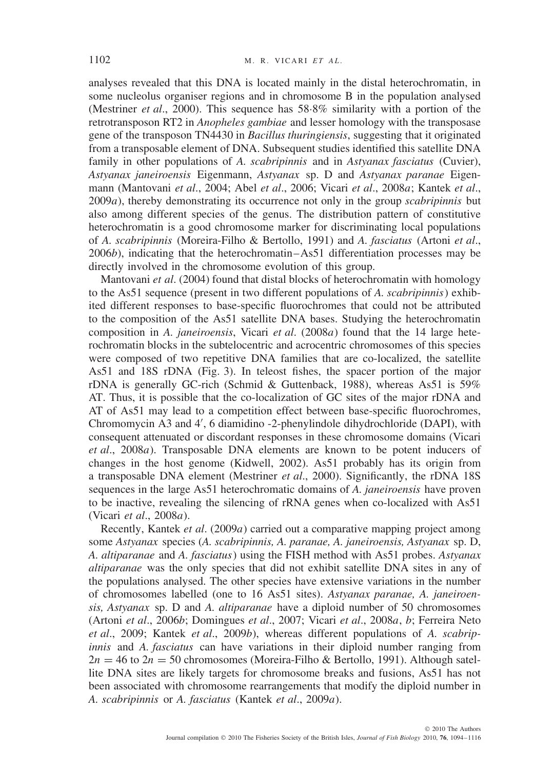analyses revealed that this DNA is located mainly in the distal heterochromatin, in some nucleolus organiser regions and in chromosome B in the population analysed (Mestriner *et al*., 2000). This sequence has 58·8% similarity with a portion of the retrotransposon RT2 in *Anopheles gambiae* and lesser homology with the transposase gene of the transposon TN4430 in *Bacillus thuringiensis*, suggesting that it originated from a transposable element of DNA. Subsequent studies identified this satellite DNA family in other populations of *A. scabripinnis* and in *Astyanax fasciatus* (Cuvier), *Astyanax janeiroensis* Eigenmann, *Astyanax* sp. D and *Astyanax paranae* Eigenmann (Mantovani *et al*., 2004; Abel *et al*., 2006; Vicari *et al*., 2008*a*; Kantek *et al*., 2009*a*), thereby demonstrating its occurrence not only in the group *scabripinnis* but also among different species of the genus. The distribution pattern of constitutive heterochromatin is a good chromosome marker for discriminating local populations of *A. scabripinnis* (Moreira-Filho & Bertollo, 1991) and *A. fasciatus* (Artoni *et al*., 2006*b*), indicating that the heterochromatin–As51 differentiation processes may be directly involved in the chromosome evolution of this group.

Mantovani *et al*. (2004) found that distal blocks of heterochromatin with homology to the As51 sequence (present in two different populations of *A. scabripinnis*) exhibited different responses to base-specific fluorochromes that could not be attributed to the composition of the As51 satellite DNA bases. Studying the heterochromatin composition in *A. janeiroensis*, Vicari *et al*. (2008*a*) found that the 14 large heterochromatin blocks in the subtelocentric and acrocentric chromosomes of this species were composed of two repetitive DNA families that are co-localized, the satellite As51 and 18S rDNA (Fig. 3). In teleost fishes, the spacer portion of the major rDNA is generally GC-rich (Schmid & Guttenback, 1988), whereas As51 is 59% AT. Thus, it is possible that the co-localization of GC sites of the major rDNA and AT of As51 may lead to a competition effect between base-specific fluorochromes, Chromomycin A3 and 4 , 6 diamidino -2-phenylindole dihydrochloride (DAPI), with consequent attenuated or discordant responses in these chromosome domains (Vicari *et al*., 2008*a*). Transposable DNA elements are known to be potent inducers of changes in the host genome (Kidwell, 2002). As51 probably has its origin from a transposable DNA element (Mestriner *et al*., 2000). Significantly, the rDNA 18S sequences in the large As51 heterochromatic domains of *A. janeiroensis* have proven to be inactive, revealing the silencing of rRNA genes when co-localized with As51 (Vicari *et al*., 2008*a*).

Recently, Kantek *et al*. (2009*a*) carried out a comparative mapping project among some *Astyanax* species (*A. scabripinnis, A. paranae, A. janeiroensis, Astyanax* sp. D, *A. altiparanae* and *A. fasciatus*) using the FISH method with As51 probes. *Astyanax altiparanae* was the only species that did not exhibit satellite DNA sites in any of the populations analysed. The other species have extensive variations in the number of chromosomes labelled (one to 16 As51 sites). *Astyanax paranae, A. janeiroensis, Astyanax* sp. D and *A. altiparanae* have a diploid number of 50 chromosomes (Artoni *et al*., 2006*b*; Domingues *et al*., 2007; Vicari *et al*., 2008*a*, *b*; Ferreira Neto *et al*., 2009; Kantek *et al*., 2009*b*), whereas different populations of *A. scabripinnis* and *A. fasciatus* can have variations in their diploid number ranging from  $2n = 46$  to  $2n = 50$  chromosomes (Moreira-Filho & Bertollo, 1991). Although satellite DNA sites are likely targets for chromosome breaks and fusions, As51 has not been associated with chromosome rearrangements that modify the diploid number in *A. scabripinnis* or *A. fasciatus* (Kantek *et al*., 2009*a*).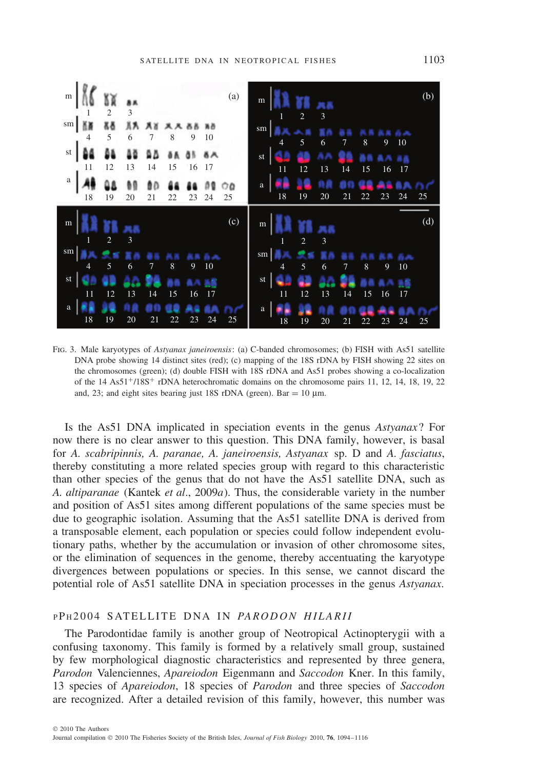

Fig. 3. Male karyotypes of *Astyanax janeiroensis*: (a) C-banded chromosomes; (b) FISH with As51 satellite DNA probe showing 14 distinct sites (red); (c) mapping of the 18S rDNA by FISH showing 22 sites on the chromosomes (green); (d) double FISH with 18S rDNA and As51 probes showing a co-localization of the 14 As51+/18S+ rDNA heterochromatic domains on the chromosome pairs 11, 12, 14, 18, 19, 22 and, 23; and eight sites bearing just 18S rDNA (green). Bar = 10  $\mu$ m.

Is the As51 DNA implicated in speciation events in the genus *Astyanax*? For now there is no clear answer to this question. This DNA family, however, is basal for *A. scabripinnis, A. paranae, A. janeiroensis, Astyanax* sp. D and *A. fasciatus*, thereby constituting a more related species group with regard to this characteristic than other species of the genus that do not have the As51 satellite DNA, such as *A. altiparanae* (Kantek *et al*., 2009*a*). Thus, the considerable variety in the number and position of As51 sites among different populations of the same species must be due to geographic isolation. Assuming that the As51 satellite DNA is derived from a transposable element, each population or species could follow independent evolutionary paths, whether by the accumulation or invasion of other chromosome sites, or the elimination of sequences in the genome, thereby accentuating the karyotype divergences between populations or species. In this sense, we cannot discard the potential role of As51 satellite DNA in speciation processes in the genus *Astyanax*.

#### <sup>P</sup> P <sup>H</sup> 2004 SATELLITE DNA IN *PARODON HILARII*

The Parodontidae family is another group of Neotropical Actinopterygii with a confusing taxonomy. This family is formed by a relatively small group, sustained by few morphological diagnostic characteristics and represented by three genera, *Parodon* Valenciennes, *Apareiodon* Eigenmann and *Saccodon* Kner. In this family, 13 species of *Apareiodon*, 18 species of *Parodon* and three species of *Saccodon* are recognized. After a detailed revision of this family, however, this number was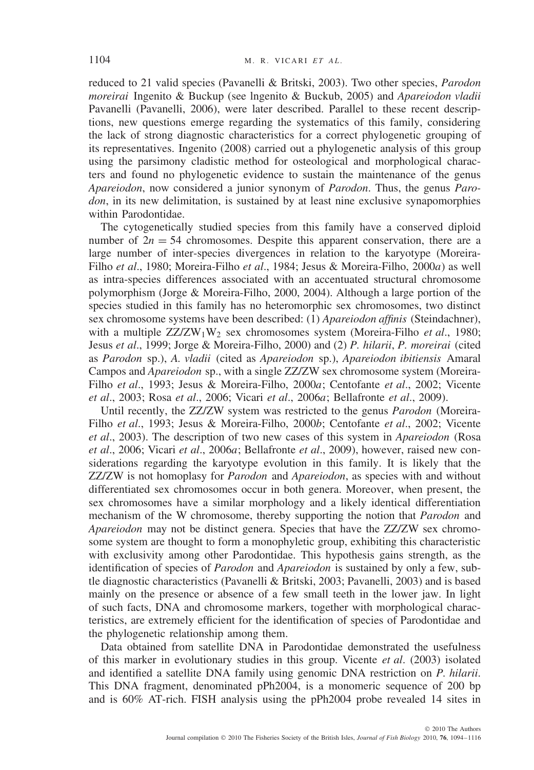reduced to 21 valid species (Pavanelli & Britski, 2003). Two other species, *Parodon moreirai* Ingenito & Buckup (see lngenito & Buckub, 2005) and *Apareiodon vladii* Pavanelli (Pavanelli, 2006), were later described. Parallel to these recent descriptions, new questions emerge regarding the systematics of this family, considering the lack of strong diagnostic characteristics for a correct phylogenetic grouping of its representatives. Ingenito (2008) carried out a phylogenetic analysis of this group using the parsimony cladistic method for osteological and morphological characters and found no phylogenetic evidence to sustain the maintenance of the genus *Apareiodon*, now considered a junior synonym of *Parodon*. Thus, the genus *Parodon*, in its new delimitation, is sustained by at least nine exclusive synapomorphies within Parodontidae.

The cytogenetically studied species from this family have a conserved diploid number of  $2n = 54$  chromosomes. Despite this apparent conservation, there are a large number of inter-species divergences in relation to the karyotype (Moreira-Filho *et al*., 1980; Moreira-Filho *et al*., 1984; Jesus & Moreira-Filho, 2000*a*) as well as intra-species differences associated with an accentuated structural chromosome polymorphism (Jorge & Moreira-Filho, 2000, 2004). Although a large portion of the species studied in this family has no heteromorphic sex chromosomes, two distinct sex chromosome systems have been described: (1) *Apareiodon affinis* (Steindachner), with a multiple ZZ/ZW<sub>1</sub>W<sub>2</sub> sex chromosomes system (Moreira-Filho *et al.*, 1980; Jesus *et al*., 1999; Jorge & Moreira-Filho, 2000) and (2) *P. hilarii*, *P. moreirai* (cited as *Parodon* sp.), *A. vladii* (cited as *Apareiodon* sp.), *Apareiodon ibitiensis* Amaral Campos and *Apareiodon* sp., with a single ZZ/ZW sex chromosome system (Moreira-Filho *et al*., 1993; Jesus & Moreira-Filho, 2000*a*; Centofante *et al*., 2002; Vicente *et al*., 2003; Rosa *et al*., 2006; Vicari *et al*., 2006*a*; Bellafronte *et al*., 2009).

Until recently, the ZZ/ZW system was restricted to the genus *Parodon* (Moreira-Filho *et al*., 1993; Jesus & Moreira-Filho, 2000*b*; Centofante *et al*., 2002; Vicente *et al*., 2003). The description of two new cases of this system in *Apareiodon* (Rosa *et al*., 2006; Vicari *et al*., 2006*a*; Bellafronte *et al*., 2009), however, raised new considerations regarding the karyotype evolution in this family. It is likely that the ZZ/ZW is not homoplasy for *Parodon* and *Apareiodon*, as species with and without differentiated sex chromosomes occur in both genera. Moreover, when present, the sex chromosomes have a similar morphology and a likely identical differentiation mechanism of the W chromosome, thereby supporting the notion that *Parodon* and *Apareiodon* may not be distinct genera. Species that have the ZZ/ZW sex chromosome system are thought to form a monophyletic group, exhibiting this characteristic with exclusivity among other Parodontidae. This hypothesis gains strength, as the identification of species of *Parodon* and *Apareiodon* is sustained by only a few, subtle diagnostic characteristics (Pavanelli & Britski, 2003; Pavanelli, 2003) and is based mainly on the presence or absence of a few small teeth in the lower jaw. In light of such facts, DNA and chromosome markers, together with morphological characteristics, are extremely efficient for the identification of species of Parodontidae and the phylogenetic relationship among them.

Data obtained from satellite DNA in Parodontidae demonstrated the usefulness of this marker in evolutionary studies in this group. Vicente *et al*. (2003) isolated and identified a satellite DNA family using genomic DNA restriction on *P. hilarii*. This DNA fragment, denominated pPh2004, is a monomeric sequence of 200 bp and is 60% AT-rich. FISH analysis using the pPh2004 probe revealed 14 sites in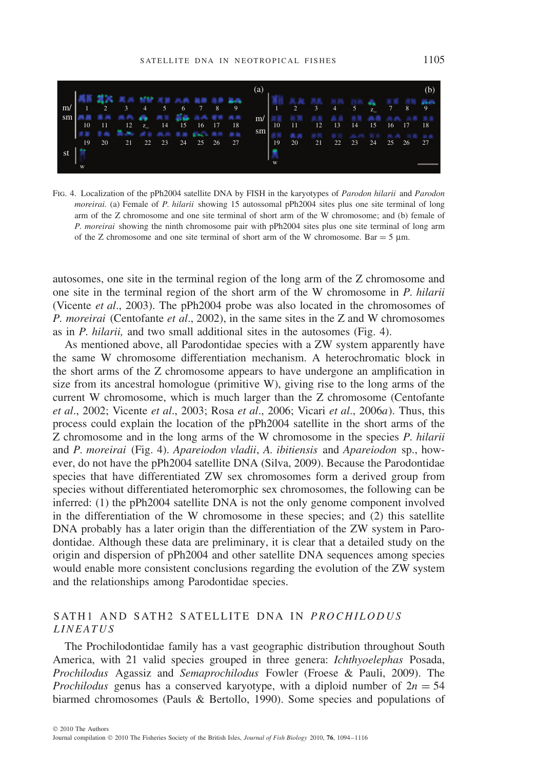

Fig. 4. Localization of the pPh2004 satellite DNA by FISH in the karyotypes of *Parodon hilarii* and *Parodon moreirai.* (a) Female of *P. hilarii* showing 15 autossomal pPh2004 sites plus one site terminal of long arm of the Z chromosome and one site terminal of short arm of the W chromosome; and (b) female of *P. moreirai* showing the ninth chromosome pair with pPh2004 sites plus one site terminal of long arm of the Z chromosome and one site terminal of short arm of the W chromosome. Bar  $=$  5  $\mu$ m.

autosomes, one site in the terminal region of the long arm of the Z chromosome and one site in the terminal region of the short arm of the W chromosome in *P. hilarii* (Vicente *et al*., 2003). The pPh2004 probe was also located in the chromosomes of *P. moreirai* (Centofante *et al*., 2002), in the same sites in the Z and W chromosomes as in *P. hilarii,* and two small additional sites in the autosomes (Fig. 4).

As mentioned above, all Parodontidae species with a ZW system apparently have the same W chromosome differentiation mechanism. A heterochromatic block in the short arms of the Z chromosome appears to have undergone an amplification in size from its ancestral homologue (primitive W), giving rise to the long arms of the current W chromosome, which is much larger than the Z chromosome (Centofante *et al*., 2002; Vicente *et al*., 2003; Rosa *et al*., 2006; Vicari *et al*., 2006*a*). Thus, this process could explain the location of the pPh2004 satellite in the short arms of the Z chromosome and in the long arms of the W chromosome in the species *P. hilarii* and *P. moreirai* (Fig. 4). *Apareiodon vladii*, *A. ibitiensis* and *Apareiodon* sp., however, do not have the pPh2004 satellite DNA (Silva, 2009). Because the Parodontidae species that have differentiated ZW sex chromosomes form a derived group from species without differentiated heteromorphic sex chromosomes, the following can be inferred: (1) the pPh2004 satellite DNA is not the only genome component involved in the differentiation of the W chromosome in these species; and (2) this satellite DNA probably has a later origin than the differentiation of the ZW system in Parodontidae. Although these data are preliminary, it is clear that a detailed study on the origin and dispersion of pPh2004 and other satellite DNA sequences among species would enable more consistent conclusions regarding the evolution of the ZW system and the relationships among Parodontidae species.

## SATH1 AND SATH2 SATELLITE DNA IN *PROCHILODUS LINEATUS*

The Prochilodontidae family has a vast geographic distribution throughout South America, with 21 valid species grouped in three genera: *Ichthyoelephas* Posada, *Prochilodus* Agassiz and *Semaprochilodus* Fowler (Froese & Pauli, 2009). The *Prochilodus* genus has a conserved karyotype, with a diploid number of  $2n = 54$ biarmed chromosomes (Pauls & Bertollo, 1990). Some species and populations of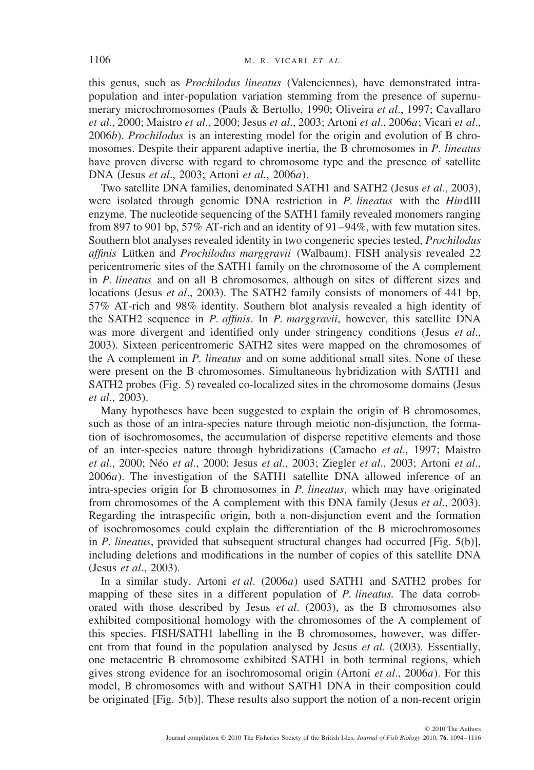this genus, such as *Prochilodus lineatus* (Valenciennes), have demonstrated intrapopulation and inter-population variation stemming from the presence of supernumerary microchromosomes (Pauls & Bertollo, 1990; Oliveira *et al*., 1997; Cavallaro *et al*., 2000; Maistro *et al*., 2000; Jesus *et al*., 2003; Artoni *et al*., 2006*a*; Vicari *et al*., 2006*b*). *Prochilodus* is an interesting model for the origin and evolution of B chromosomes. Despite their apparent adaptive inertia, the B chromosomes in *P. lineatus* have proven diverse with regard to chromosome type and the presence of satellite DNA (Jesus *et al*., 2003; Artoni *et al*., 2006*a*).

Two satellite DNA families, denominated SATH1 and SATH2 (Jesus *et al*., 2003), were isolated through genomic DNA restriction in *P. lineatus* with the *Hin*dIII enzyme. The nucleotide sequencing of the SATH1 family revealed monomers ranging from 897 to 901 bp, 57% AT-rich and an identity of 91–94%, with few mutation sites. Southern blot analyses revealed identity in two congeneric species tested, *Prochilodus affinis* Lütken and *Prochilodus marggravii* (Walbaum). FISH analysis revealed 22 pericentromeric sites of the SATH1 family on the chromosome of the A complement in *P. lineatus* and on all B chromosomes, although on sites of different sizes and locations (Jesus *et al*., 2003). The SATH2 family consists of monomers of 441 bp, 57% AT-rich and 98% identity. Southern blot analysis revealed a high identity of the SATH2 sequence in *P. affinis*. In *P. marggravii*, however, this satellite DNA was more divergent and identified only under stringency conditions (Jesus *et al*., 2003). Sixteen pericentromeric SATH2 sites were mapped on the chromosomes of the A complement in *P. lineatus* and on some additional small sites. None of these were present on the B chromosomes. Simultaneous hybridization with SATH1 and SATH2 probes (Fig. 5) revealed co-localized sites in the chromosome domains (Jesus *et al*., 2003).

Many hypotheses have been suggested to explain the origin of B chromosomes, such as those of an intra-species nature through meiotic non-disjunction, the formation of isochromosomes, the accumulation of disperse repetitive elements and those of an inter-species nature through hybridizations (Camacho *et al*., 1997; Maistro *et al.*, 2000; Néo *et al.*, 2000; Jesus *et al.*, 2003; Ziegler *et al.*, 2003; Artoni *et al.*, 2006*a*). The investigation of the SATH1 satellite DNA allowed inference of an intra-species origin for B chromosomes in *P. lineatus*, which may have originated from chromosomes of the A complement with this DNA family (Jesus *et al*., 2003). Regarding the intraspecific origin, both a non-disjunction event and the formation of isochromosomes could explain the differentiation of the B microchromosomes in *P. lineatus*, provided that subsequent structural changes had occurred [Fig. 5(b)], including deletions and modifications in the number of copies of this satellite DNA (Jesus *et al*., 2003).

In a similar study, Artoni *et al*. (2006*a*) used SATH1 and SATH2 probes for mapping of these sites in a different population of *P. lineatus.* The data corroborated with those described by Jesus *et al*. (2003), as the B chromosomes also exhibited compositional homology with the chromosomes of the A complement of this species. FISH/SATH1 labelling in the B chromosomes, however, was different from that found in the population analysed by Jesus *et al*. (2003). Essentially, one metacentric B chromosome exhibited SATH1 in both terminal regions, which gives strong evidence for an isochromosomal origin (Artoni *et al*., 2006*a*). For this model, B chromosomes with and without SATH1 DNA in their composition could be originated [Fig. 5(b)]. These results also support the notion of a non-recent origin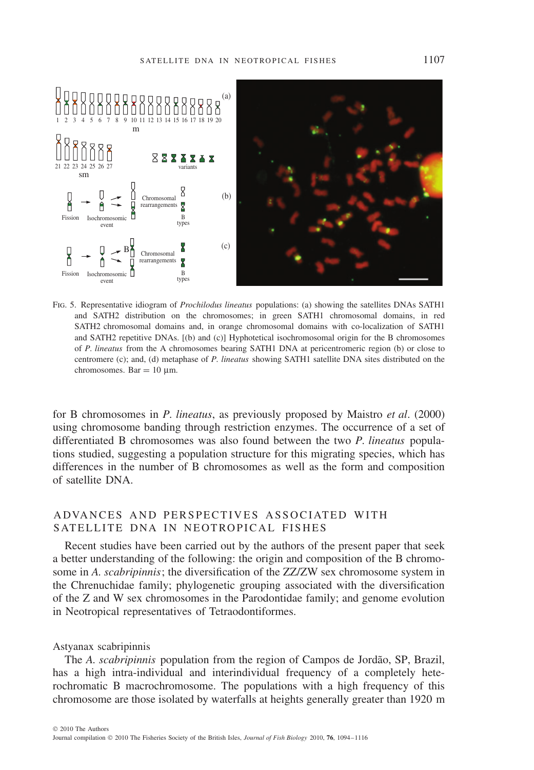

Fig. 5. Representative idiogram of *Prochilodus lineatus* populations: (a) showing the satellites DNAs SATH1 and SATH2 distribution on the chromosomes; in green SATH1 chromosomal domains, in red SATH2 chromosomal domains and, in orange chromosomal domains with co-localization of SATH1 and SATH2 repetitive DNAs. [(b) and (c)] Hyphotetical isochromosomal origin for the B chromosomes of *P. lineatus* from the A chromosomes bearing SATH1 DNA at pericentromeric region (b) or close to centromere (c); and, (d) metaphase of *P. lineatus* showing SATH1 satellite DNA sites distributed on the  $chromosomes$ . Bar  $= 10$  μm.

for B chromosomes in *P. lineatus*, as previously proposed by Maistro *et al*. (2000) using chromosome banding through restriction enzymes. The occurrence of a set of differentiated B chromosomes was also found between the two *P. lineatus* populations studied, suggesting a population structure for this migrating species, which has differences in the number of B chromosomes as well as the form and composition of satellite DNA.

## ADVANCES AND PERSPECTIVES ASSOCIATED WITH SATELLITE DNA IN NEOTROPICAL FISHES

Recent studies have been carried out by the authors of the present paper that seek a better understanding of the following: the origin and composition of the B chromosome in *A. scabripinnis*; the diversification of the ZZ/ZW sex chromosome system in the Chrenuchidae family; phylogenetic grouping associated with the diversification of the Z and W sex chromosomes in the Parodontidae family; and genome evolution in Neotropical representatives of Tetraodontiformes.

#### Astyanax scabripinnis

The *A. scabripinnis* population from the region of Campos de Jordão, SP, Brazil, has a high intra-individual and interindividual frequency of a completely heterochromatic B macrochromosome. The populations with a high frequency of this chromosome are those isolated by waterfalls at heights generally greater than 1920 m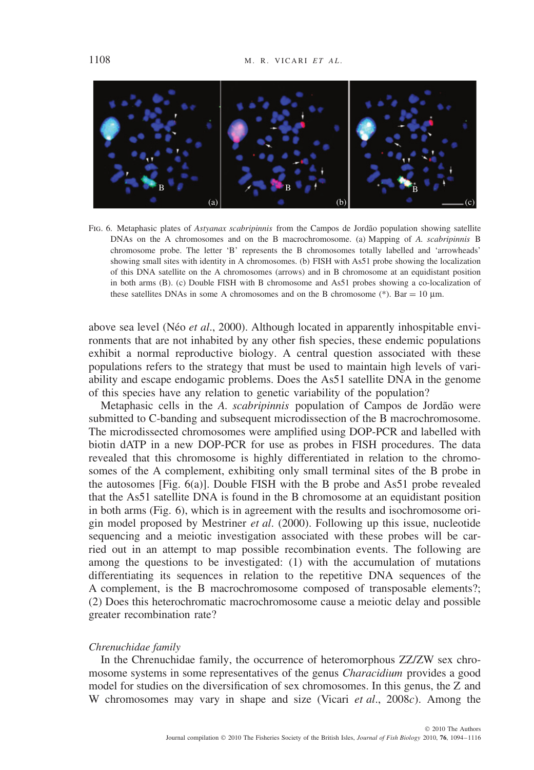

FIG. 6. Metaphasic plates of *Astyanax scabripinnis* from the Campos de Jordão population showing satellite DNAs on the A chromosomes and on the B macrochromosome. (a) Mapping of *A. scabripinnis* B chromosome probe. The letter 'B' represents the B chromosomes totally labelled and 'arrowheads' showing small sites with identity in A chromosomes. (b) FISH with As51 probe showing the localization of this DNA satellite on the A chromosomes (arrows) and in B chromosome at an equidistant position in both arms (B). (c) Double FISH with B chromosome and As51 probes showing a co-localization of these satellites DNAs in some A chromosomes and on the B chromosome (\*). Bar = 10  $\mu$ m.

above sea level (Néo *et al.*, 2000). Although located in apparently inhospitable environments that are not inhabited by any other fish species, these endemic populations exhibit a normal reproductive biology. A central question associated with these populations refers to the strategy that must be used to maintain high levels of variability and escape endogamic problems. Does the As51 satellite DNA in the genome of this species have any relation to genetic variability of the population?

Metaphasic cells in the *A. scabripinnis* population of Campos de Jordão were submitted to C-banding and subsequent microdissection of the B macrochromosome. The microdissected chromosomes were amplified using DOP-PCR and labelled with biotin dATP in a new DOP-PCR for use as probes in FISH procedures. The data revealed that this chromosome is highly differentiated in relation to the chromosomes of the A complement, exhibiting only small terminal sites of the B probe in the autosomes [Fig. 6(a)]. Double FISH with the B probe and As51 probe revealed that the As51 satellite DNA is found in the B chromosome at an equidistant position in both arms (Fig. 6), which is in agreement with the results and isochromosome origin model proposed by Mestriner *et al*. (2000). Following up this issue, nucleotide sequencing and a meiotic investigation associated with these probes will be carried out in an attempt to map possible recombination events. The following are among the questions to be investigated: (1) with the accumulation of mutations differentiating its sequences in relation to the repetitive DNA sequences of the A complement, is the B macrochromosome composed of transposable elements?; (2) Does this heterochromatic macrochromosome cause a meiotic delay and possible greater recombination rate?

#### *Chrenuchidae family*

In the Chrenuchidae family, the occurrence of heteromorphous ZZ/ZW sex chromosome systems in some representatives of the genus *Characidium* provides a good model for studies on the diversification of sex chromosomes. In this genus, the Z and W chromosomes may vary in shape and size (Vicari *et al*., 2008*c*). Among the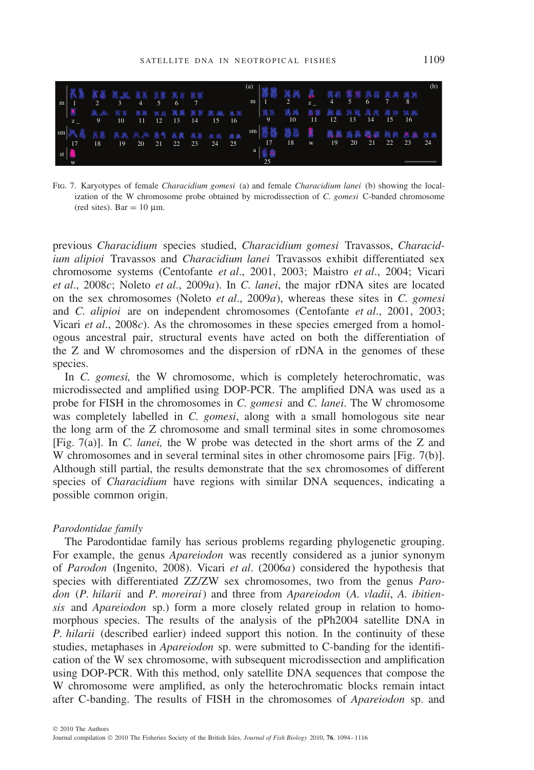

Fig. 7. Karyotypes of female *Characidium gomesi* (a) and female *Characidium lanei* (b) showing the localization of the W chromosome probe obtained by microdissection of *C. gomesi* C-banded chromosome (red sites). Bar =  $10 \mu$ m.

previous *Characidium* species studied, *Characidium gomesi* Travassos, *Characidium alipioi* Travassos and *Characidium lanei* Travassos exhibit differentiated sex chromosome systems (Centofante *et al*., 2001, 2003; Maistro *et al*., 2004; Vicari *et al*., 2008*c*; Noleto *et al*., 2009*a*). In *C. lanei*, the major rDNA sites are located on the sex chromosomes (Noleto *et al*., 2009*a*), whereas these sites in *C. gomesi* and *C. alipioi* are on independent chromosomes (Centofante *et al*., 2001, 2003; Vicari *et al*., 2008*c*). As the chromosomes in these species emerged from a homologous ancestral pair, structural events have acted on both the differentiation of the Z and W chromosomes and the dispersion of rDNA in the genomes of these species.

In *C. gomesi*, the W chromosome, which is completely heterochromatic, was microdissected and amplified using DOP-PCR. The amplified DNA was used as a probe for FISH in the chromosomes in *C. gomesi* and *C. lanei*. The W chromosome was completely labelled in *C. gomesi*, along with a small homologous site near the long arm of the Z chromosome and small terminal sites in some chromosomes [Fig. 7(a)]. In *C. lanei,* the W probe was detected in the short arms of the Z and W chromosomes and in several terminal sites in other chromosome pairs [Fig. 7(b)]. Although still partial, the results demonstrate that the sex chromosomes of different species of *Characidium* have regions with similar DNA sequences, indicating a possible common origin.

#### *Parodontidae family*

The Parodontidae family has serious problems regarding phylogenetic grouping. For example, the genus *Apareiodon* was recently considered as a junior synonym of *Parodon* (Ingenito, 2008). Vicari *et al*. (2006*a*) considered the hypothesis that species with differentiated ZZ/ZW sex chromosomes, two from the genus *Parodon* (*P. hilarii* and *P. moreirai*) and three from *Apareiodon* (*A. vladii*, *A. ibitiensis* and *Apareiodon* sp.) form a more closely related group in relation to homomorphous species. The results of the analysis of the pPh2004 satellite DNA in *P. hilarii* (described earlier) indeed support this notion. In the continuity of these studies, metaphases in *Apareiodon* sp. were submitted to C-banding for the identification of the W sex chromosome, with subsequent microdissection and amplification using DOP-PCR. With this method, only satellite DNA sequences that compose the W chromosome were amplified, as only the heterochromatic blocks remain intact after C-banding. The results of FISH in the chromosomes of *Apareiodon* sp. and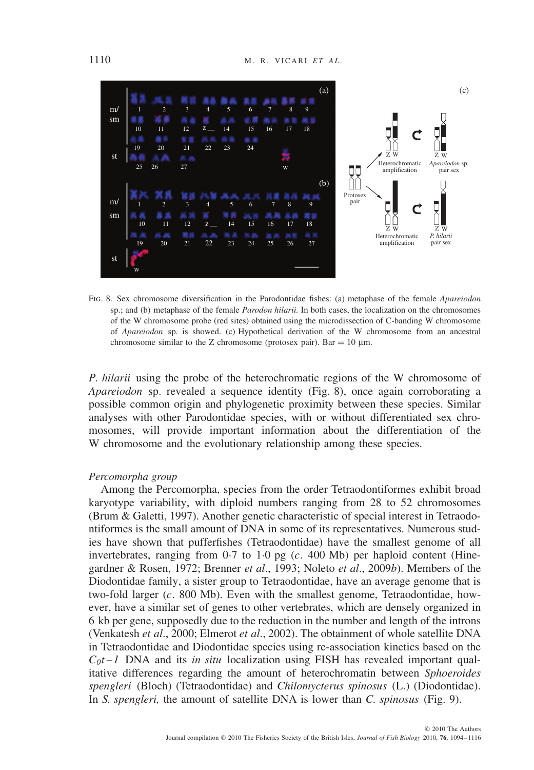

Fig. 8. Sex chromosome diversification in the Parodontidae fishes: (a) metaphase of the female *Apareiodon* sp.; and (b) metaphase of the female *Parodon hilarii.* In both cases, the localization on the chromosomes of the W chromosome probe (red sites) obtained using the microdissection of C-banding W chromosome of *Apareiodon* sp. is showed. (c) Hypothetical derivation of the W chromosome from an ancestral chromosome similar to the Z chromosome (protosex pair). Bar =  $10 \mu$ m.

*P. hilarii* using the probe of the heterochromatic regions of the W chromosome of *Apareiodon* sp. revealed a sequence identity (Fig. 8), once again corroborating a possible common origin and phylogenetic proximity between these species. Similar analyses with other Parodontidae species, with or without differentiated sex chromosomes, will provide important information about the differentiation of the W chromosome and the evolutionary relationship among these species.

#### *Percomorpha group*

Among the Percomorpha, species from the order Tetraodontiformes exhibit broad karyotype variability, with diploid numbers ranging from 28 to 52 chromosomes (Brum & Galetti, 1997). Another genetic characteristic of special interest in Tetraodontiformes is the small amount of DNA in some of its representatives. Numerous studies have shown that pufferfishes (Tetraodontidae) have the smallest genome of all invertebrates, ranging from  $0.7$  to  $1.0$  pg (*c.* 400 Mb) per haploid content (Hinegardner & Rosen, 1972; Brenner *et al*., 1993; Noleto *et al*., 2009*b*). Members of the Diodontidae family, a sister group to Tetraodontidae, have an average genome that is two-fold larger (*c.* 800 Mb). Even with the smallest genome, Tetraodontidae, however, have a similar set of genes to other vertebrates, which are densely organized in 6 kb per gene, supposedly due to the reduction in the number and length of the introns (Venkatesh *et al*., 2000; Elmerot *et al*., 2002). The obtainment of whole satellite DNA in Tetraodontidae and Diodontidae species using re-association kinetics based on the  $C_0t-1$  DNA and its *in situ* localization using FISH has revealed important qualitative differences regarding the amount of heterochromatin between *Sphoeroides spengleri* (Bloch) (Tetraodontidae) and *Chilomycterus spinosus* (L.) (Diodontidae). In *S. spengleri,* the amount of satellite DNA is lower than *C. spinosus* (Fig. 9).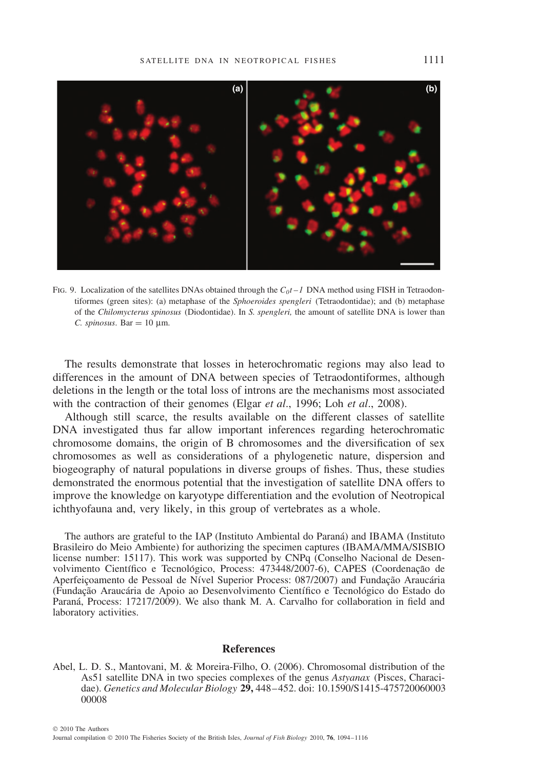

Fig. 9. Localization of the satellites DNAs obtained through the *C0t* –*1* DNA method using FISH in Tetraodontiformes (green sites): (a) metaphase of the *Sphoeroides spengleri* (Tetraodontidae); and (b) metaphase of the *Chilomycterus spinosus* (Diodontidae). In *S. spengleri,* the amount of satellite DNA is lower than *C. spinosus.* Bar = 10  $\mu$ m.

The results demonstrate that losses in heterochromatic regions may also lead to differences in the amount of DNA between species of Tetraodontiformes, although deletions in the length or the total loss of introns are the mechanisms most associated with the contraction of their genomes (Elgar *et al*., 1996; Loh *et al*., 2008).

Although still scarce, the results available on the different classes of satellite DNA investigated thus far allow important inferences regarding heterochromatic chromosome domains, the origin of B chromosomes and the diversification of sex chromosomes as well as considerations of a phylogenetic nature, dispersion and biogeography of natural populations in diverse groups of fishes. Thus, these studies demonstrated the enormous potential that the investigation of satellite DNA offers to improve the knowledge on karyotype differentiation and the evolution of Neotropical ichthyofauna and, very likely, in this group of vertebrates as a whole.

The authors are grateful to the IAP (Instituto Ambiental do Paraná) and IBAMA (Instituto Brasileiro do Meio Ambiente) for authorizing the specimen captures (IBAMA/MMA/SISBIO license number: 15117). This work was supported by CNPq (Conselho Nacional de Desenvolvimento Científico e Tecnológico, Process: 473448/2007-6), CAPES (Coordenação de Aperfeiçoamento de Pessoal de Nível Superior Process: 087/2007) and Fundação Araucária (Fundação Araucária de Apoio ao Desenvolvimento Científico e Tecnológico do Estado do Paraná, Process: 17217/2009). We also thank M. A. Carvalho for collaboration in field and laboratory activities.

#### **References**

Abel, L. D. S., Mantovani, M. & Moreira-Filho, O. (2006). Chromosomal distribution of the As51 satellite DNA in two species complexes of the genus *Astyanax* (Pisces, Characidae). *Genetics and Molecular Biology* **29,** 448–452. doi: 10.1590/S1415-475720060003 00008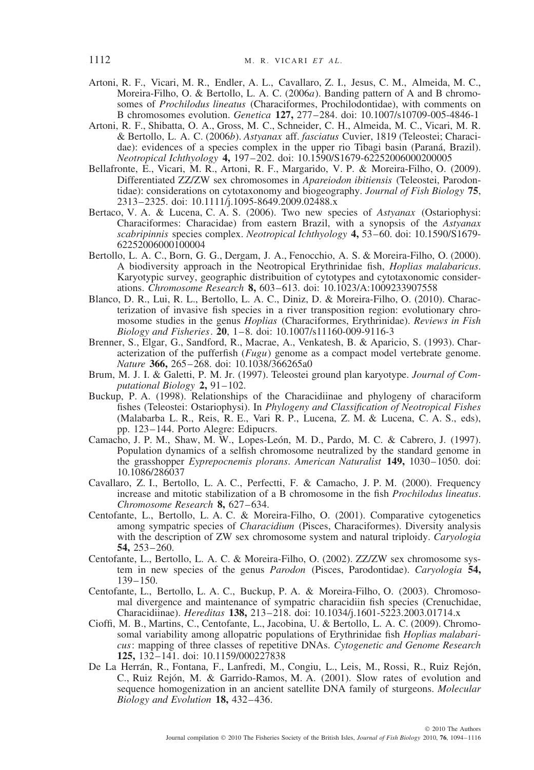- Artoni, R. F., Vicari, M. R., Endler, A. L., Cavallaro, Z. I., Jesus, C. M., Almeida, M. C., Moreira-Filho, O. & Bertollo, L. A. C. (2006*a*). Banding pattern of A and B chromosomes of *Prochilodus lineatus* (Characiformes, Prochilodontidae), with comments on B chromosomes evolution. *Genetica* **127,** 277–284. doi: 10.1007/s10709-005-4846-1
- Artoni, R. F., Shibatta, O. A., Gross, M. C., Schneider, C. H., Almeida, M. C., Vicari, M. R. & Bertollo, L. A. C. (2006*b*). *Astyanax* aff. *fasciatus* Cuvier, 1819 (Teleostei; Characidae): evidences of a species complex in the upper rio Tibagi basin (Paraná, Brazil). *Neotropical Ichthyology* **4,** 197–202. doi: 10.1590/S1679-62252006000200005
- Bellafronte, E., Vicari, M. R., Artoni, R. F., Margarido, V. P. & Moreira-Filho, O. (2009). Differentiated ZZ/ZW sex chromosomes in *Apareiodon ibitiensis* (Teleostei, Parodontidae): considerations on cytotaxonomy and biogeography. *Journal of Fish Biology* **75**, 2313–2325. doi: 10.1111/j.1095-8649.2009.02488.x
- Bertaco, V. A. & Lucena, C. A. S. (2006). Two new species of *Astyanax* (Ostariophysi: Characiformes: Characidae) from eastern Brazil, with a synopsis of the *Astyanax scabripinnis* species complex. *Neotropical Ichthyology* **4,** 53–60. doi: 10.1590/S1679- 62252006000100004
- Bertollo, L. A. C., Born, G. G., Dergam, J. A., Fenocchio, A. S. & Moreira-Filho, O. (2000). A biodiversity approach in the Neotropical Erythrinidae fish, *Hoplias malabaricus*. Karyotypic survey, geographic distribuition of cytotypes and cytotaxonomic considerations. *Chromosome Research* **8,** 603–613. doi: 10.1023/A:1009233907558
- Blanco, D. R., Lui, R. L., Bertollo, L. A. C., Diniz, D. & Moreira-Filho, O. (2010). Characterization of invasive fish species in a river transposition region: evolutionary chromosome studies in the genus *Hoplias* (Characiformes, Erythrinidae). *Reviews in Fish Biology and Fisheries*. **20**, 1–8. doi: 10.1007/s11160-009-9116-3
- Brenner, S., Elgar, G., Sandford, R., Macrae, A., Venkatesh, B. & Aparicio, S. (1993). Characterization of the pufferfish (*Fugu*) genome as a compact model vertebrate genome. *Nature* **366,** 265–268. doi: 10.1038/366265a0
- Brum, M. J. I. & Galetti, P. M. Jr. (1997). Teleostei ground plan karyotype. *Journal of Computational Biology* **2,** 91–102.
- Buckup, P. A. (1998). Relationships of the Characidiinae and phylogeny of characiform fishes (Teleostei: Ostariophysi). In *Phylogeny and Classification of Neotropical Fishes* (Malabarba L. R., Reis, R. E., Vari R. P., Lucena, Z. M. & Lucena, C. A. S., eds), pp. 123–144. Porto Alegre: Edipucrs.
- Camacho, J. P. M., Shaw, M. W., Lopes-León, M. D., Pardo, M. C. & Cabrero, J. (1997). Population dynamics of a selfish chromosome neutralized by the standard genome in the grasshopper *Eyprepocnemis plorans*. *American Naturalist* **149,** 1030–1050. doi: 10.1086/286037
- Cavallaro, Z. I., Bertollo, L. A. C., Perfectti, F. & Camacho, J. P. M. (2000). Frequency increase and mitotic stabilization of a B chromosome in the fish *Prochilodus lineatus*. *Chromosome Research* **8,** 627–634.
- Centofante, L., Bertollo, L. A. C. & Moreira-Filho, O. (2001). Comparative cytogenetics among sympatric species of *Characidium* (Pisces, Characiformes). Diversity analysis with the description of ZW sex chromosome system and natural triploidy. *Caryologia* **54,** 253–260.
- Centofante, L., Bertollo, L. A. C. & Moreira-Filho, O. (2002). ZZ/ZW sex chromosome system in new species of the genus *Parodon* (Pisces, Parodontidae). *Caryologia* **54,** 139–150.
- Centofante, L., Bertollo, L. A. C., Buckup, P. A. & Moreira-Filho, O. (2003). Chromosomal divergence and maintenance of sympatric characidiin fish species (Crenuchidae, Characidiinae). *Hereditas* **138,** 213–218. doi: 10.1034/j.1601-5223.2003.01714.x
- Cioffi, M. B., Martins, C., Centofante, L., Jacobina, U. & Bertollo, L. A. C. (2009). Chromosomal variability among allopatric populations of Erythrinidae fish *Hoplias malabaricus*: mapping of three classes of repetitive DNAs. *Cytogenetic and Genome Research* **125,** 132–141. doi: 10.1159/000227838
- De La Herrán, R., Fontana, F., Lanfredi, M., Congiu, L., Leis, M., Rossi, R., Ruiz Rejón, C., Ruiz Rejón, M. & Garrido-Ramos, M. A. (2001). Slow rates of evolution and sequence homogenization in an ancient satellite DNA family of sturgeons. *Molecular Biology and Evolution* **18,** 432–436.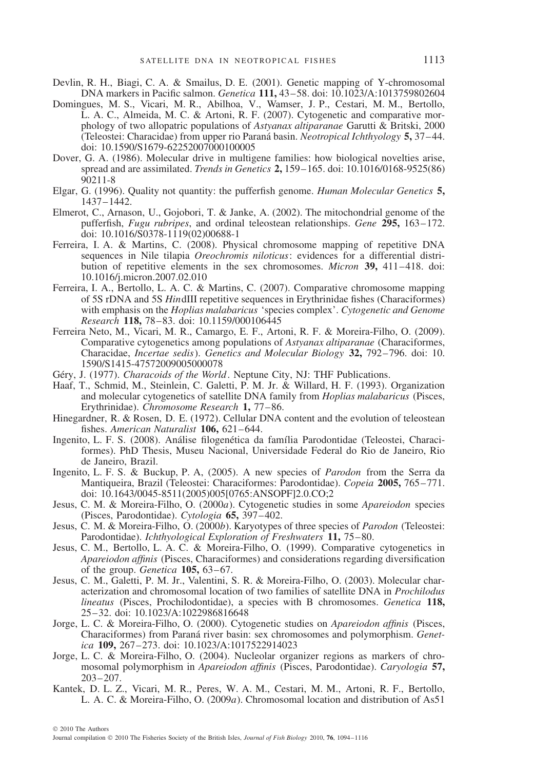- Devlin, R. H., Biagi, C. A. & Smailus, D. E. (2001). Genetic mapping of Y-chromosomal DNA markers in Pacific salmon. *Genetica* **111,** 43–58. doi: 10.1023/A:1013759802604
- Domingues, M. S., Vicari, M. R., Abilhoa, V., Wamser, J. P., Cestari, M. M., Bertollo, L. A. C., Almeida, M. C. & Artoni, R. F. (2007). Cytogenetic and comparative morphology of two allopatric populations of *Astyanax altiparanae* Garutti & Britski, 2000 (Teleostei: Characidae) from upper rio Parana basin. ´ *Neotropical Ichthyology* **5,** 37–44. doi: 10.1590/S1679-62252007000100005
- Dover, G. A. (1986). Molecular drive in multigene families: how biological novelties arise, spread and are assimilated. *Trends in Genetics* **2,** 159–165. doi: 10.1016/0168-9525(86) 90211-8
- Elgar, G. (1996). Quality not quantity: the pufferfish genome. *Human Molecular Genetics* **5,** 1437–1442.
- Elmerot, C., Arnason, U., Gojobori, T. & Janke, A. (2002). The mitochondrial genome of the pufferfish, *Fugu rubripes*, and ordinal teleostean relationships. *Gene* **295,** 163–172. doi: 10.1016/S0378-1119(02)00688-1
- Ferreira, I. A. & Martins, C. (2008). Physical chromosome mapping of repetitive DNA sequences in Nile tilapia *Oreochromis niloticus*: evidences for a differential distribution of repetitive elements in the sex chromosomes. *Micron* **39,** 411–418. doi: 10.1016/j.micron.2007.02.010
- Ferreira, I. A., Bertollo, L. A. C. & Martins, C. (2007). Comparative chromosome mapping of 5S rDNA and 5S *Hin*dIII repetitive sequences in Erythrinidae fishes (Characiformes) with emphasis on the *Hoplias malabaricus* 'species complex'. *Cytogenetic and Genome Research* **118,** 78–83. doi: 10.1159/000106445
- Ferreira Neto, M., Vicari, M. R., Camargo, E. F., Artoni, R. F. & Moreira-Filho, O. (2009). Comparative cytogenetics among populations of *Astyanax altiparanae* (Characiformes, Characidae, *Incertae sedis*). *Genetics and Molecular Biology* **32,** 792–796. doi: 10. 1590/S1415-47572009005000078
- Géry, J. (1977). *Characoids of the World*. Neptune City, NJ: THF Publications.
- Haaf, T., Schmid, M., Steinlein, C. Galetti, P. M. Jr. & Willard, H. F. (1993). Organization and molecular cytogenetics of satellite DNA family from *Hoplias malabaricus* (Pisces, Erythrinidae). *Chromosome Research* **1,** 77–86.
- Hinegardner, R. & Rosen, D. E. (1972). Cellular DNA content and the evolution of teleostean fishes. *American Naturalist* **106,** 621–644.
- Ingenito, L. F. S. (2008). Análise filogenética da família Parodontidae (Teleostei, Characiformes). PhD Thesis, Museu Nacional, Universidade Federal do Rio de Janeiro, Rio de Janeiro, Brazil.
- Ingenito, L. F. S. & Buckup, P. A, (2005). A new species of *Parodon* from the Serra da Mantiqueira, Brazil (Teleostei: Characiformes: Parodontidae). *Copeia* **2005,** 765–771. doi: 10.1643/0045-8511(2005)005[0765:ANSOPF]2.0.CO;2
- Jesus, C. M. & Moreira-Filho, O. (2000*a*). Cytogenetic studies in some *Apareiodon* species (Pisces, Parodontidae). *Cytologia* **65,** 397–402.
- Jesus, C. M. & Moreira-Filho, O. (2000*b*). Karyotypes of three species of *Parodon* (Teleostei: Parodontidae). *Ichthyological Exploration of Freshwaters* **11,** 75–80.
- Jesus, C. M., Bertollo, L. A. C. & Moreira-Filho, O. (1999). Comparative cytogenetics in *Apareiodon affinis* (Pisces, Characiformes) and considerations regarding diversification of the group. *Genetica* **105,** 63–67.
- Jesus, C. M., Galetti, P. M. Jr., Valentini, S. R. & Moreira-Filho, O. (2003). Molecular characterization and chromosomal location of two families of satellite DNA in *Prochilodus lineatus* (Pisces, Prochilodontidae), a species with B chromosomes. *Genetica* **118,** 25–32. doi: 10.1023/A:1022986816648
- Jorge, L. C. & Moreira-Filho, O. (2000). Cytogenetic studies on *Apareiodon affinis* (Pisces, Characiformes) from Paraná river basin: sex chromosomes and polymorphism. Genet*ica* **109,** 267–273. doi: 10.1023/A:1017522914023
- Jorge, L. C. & Moreira-Filho, O. (2004). Nucleolar organizer regions as markers of chromosomal polymorphism in *Apareiodon affinis* (Pisces, Parodontidae). *Caryologia* **57,** 203–207.
- Kantek, D. L. Z., Vicari, M. R., Peres, W. A. M., Cestari, M. M., Artoni, R. F., Bertollo, L. A. C. & Moreira-Filho, O. (2009*a*). Chromosomal location and distribution of As51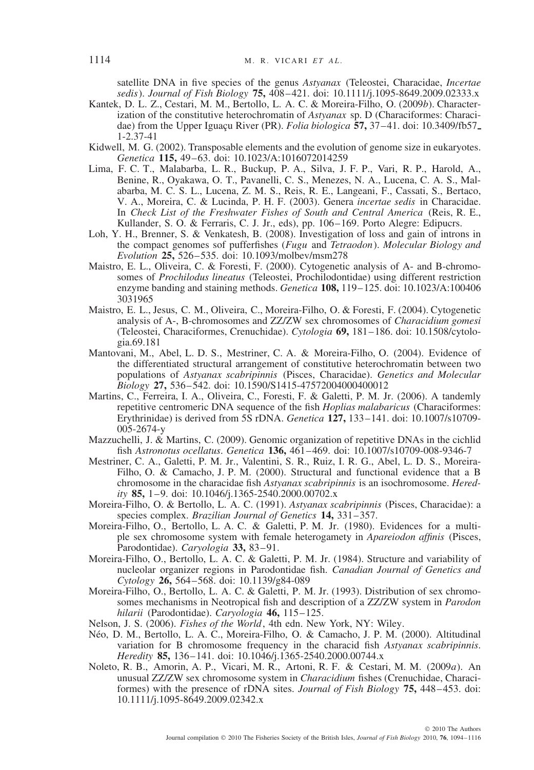satellite DNA in five species of the genus *Astyanax* (Teleostei, Characidae, *Incertae sedis*). *Journal of Fish Biology* **75,** 408–421. doi: 10.1111/j.1095-8649.2009.02333.x

- Kantek, D. L. Z., Cestari, M. M., Bertollo, L. A. C. & Moreira-Filho, O. (2009*b*). Characterization of the constitutive heterochromatin of *Astyanax* sp. D (Characiformes: Characidae) from the Upper Iguacu River (PR). *Folia biologica* **57,** 37–41. doi: 10.3409/fb57 1-2.37-41
- Kidwell, M. G. (2002). Transposable elements and the evolution of genome size in eukaryotes. *Genetica* **115,** 49–63. doi: 10.1023/A:1016072014259
- Lima, F. C. T., Malabarba, L. R., Buckup, P. A., Silva, J. F. P., Vari, R. P., Harold, A., Benine, R., Oyakawa, O. T., Pavanelli, C. S., Menezes, N. A., Lucena, C. A. S., Malabarba, M. C. S. L., Lucena, Z. M. S., Reis, R. E., Langeani, F., Cassati, S., Bertaco, V. A., Moreira, C. & Lucinda, P. H. F. (2003). Genera *incertae sedis* in Characidae. In *Check List of the Freshwater Fishes of South and Central America* (Reis, R. E., Kullander, S. O. & Ferraris, C. J. Jr., eds), pp. 106–169. Porto Alegre: Edipucrs.
- Loh, Y. H., Brenner, S. & Venkatesh, B. (2008). Investigation of loss and gain of introns in the compact genomes sof pufferfishes (*Fugu* and *Tetraodon*). *Molecular Biology and Evolution* **25,** 526–535. doi: 10.1093/molbev/msm278
- Maistro, E. L., Oliveira, C. & Foresti, F. (2000). Cytogenetic analysis of A- and B-chromosomes of *Prochilodus lineatus* (Teleostei, Prochilodontidae) using different restriction enzyme banding and staining methods. *Genetica* **108,** 119–125. doi: 10.1023/A:100406 3031965
- Maistro, E. L., Jesus, C. M., Oliveira, C., Moreira-Filho, O. & Foresti, F. (2004). Cytogenetic analysis of A-, B-chromosomes and ZZ/ZW sex chromosomes of *Characidium gomesi* (Teleostei, Characiformes, Crenuchidae). *Cytologia* **69,** 181–186. doi: 10.1508/cytologia.69.181
- Mantovani, M., Abel, L. D. S., Mestriner, C. A. & Moreira-Filho, O. (2004). Evidence of the differentiated structural arrangement of constitutive heterochromatin between two populations of *Astyanax scabripinnis* (Pisces, Characidae). *Genetics and Molecular Biology* **27,** 536–542. doi: 10.1590/S1415-47572004000400012
- Martins, C., Ferreira, I. A., Oliveira, C., Foresti, F. & Galetti, P. M. Jr. (2006). A tandemly repetitive centromeric DNA sequence of the fish *Hoplias malabaricus* (Characiformes: Erythrinidae) is derived from 5S rDNA. *Genetica* **127,** 133–141. doi: 10.1007/s10709- 005-2674-y
- Mazzuchelli, J. & Martins, C. (2009). Genomic organization of repetitive DNAs in the cichlid fish *Astronotus ocellatus*. *Genetica* **136,** 461–469. doi: 10.1007/s10709-008-9346-7
- Mestriner, C. A., Galetti, P. M. Jr., Valentini, S. R., Ruiz, I. R. G., Abel, L. D. S., Moreira-Filho, O. & Camacho, J. P. M. (2000). Structural and functional evidence that a B chromosome in the characidae fish *Astyanax scabripinnis* is an isochromosome. *Heredity* **85,** 1–9. doi: 10.1046/j.1365-2540.2000.00702.x
- Moreira-Filho, O. & Bertollo, L. A. C. (1991). *Astyanax scabripinnis* (Pisces, Characidae): a species complex. *Brazilian Journal of Genetics* **14,** 331–357.
- Moreira-Filho, O., Bertollo, L. A. C. & Galetti, P. M. Jr. (1980). Evidences for a multiple sex chromosome system with female heterogamety in *Apareiodon affinis* (Pisces, Parodontidae). *Caryologia* **33,** 83–91.
- Moreira-Filho, O., Bertollo, L. A. C. & Galetti, P. M. Jr. (1984). Structure and variability of nucleolar organizer regions in Parodontidae fish. *Canadian Journal of Genetics and Cytology* **26,** 564–568. doi: 10.1139/g84-089
- Moreira-Filho, O., Bertollo, L. A. C. & Galetti, P. M. Jr. (1993). Distribution of sex chromosomes mechanisms in Neotropical fish and description of a ZZ/ZW system in *Parodon hilarii* (Parodontidae). *Caryologia* **46,** 115–125.
- Nelson, J. S. (2006). *Fishes of the World*, 4th edn. New York, NY: Wiley.
- Neo, D. M., Bertollo, L. A. C., Moreira-Filho, O. & Camacho, J. P. M. (2000). Altitudinal ´ variation for B chromosome frequency in the characid fish *Astyanax scabripinnis*. *Heredity* **85,** 136–141. doi: 10.1046/j.1365-2540.2000.00744.x
- Noleto, R. B., Amorin, A. P., Vicari, M. R., Artoni, R. F. & Cestari, M. M. (2009*a*). An unusual ZZ/ZW sex chromosome system in *Characidium* fishes (Crenuchidae, Characiformes) with the presence of rDNA sites. *Journal of Fish Biology* **75,** 448–453. doi: 10.1111/j.1095-8649.2009.02342.x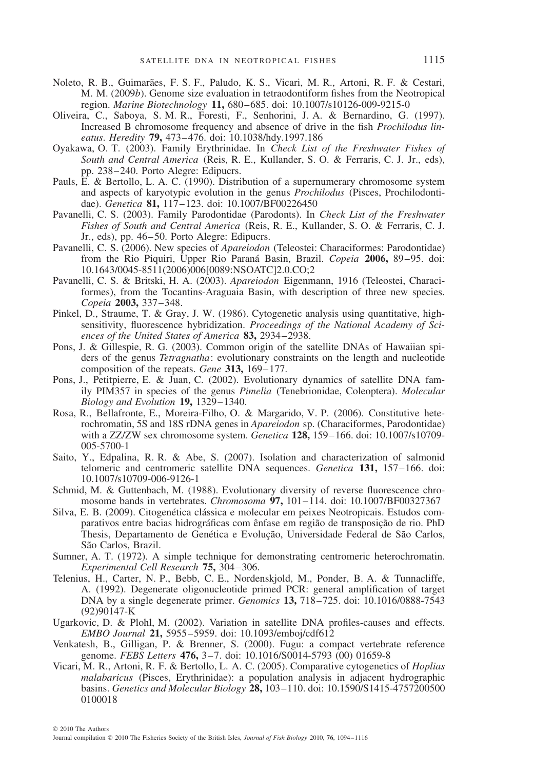- Noleto, R. B., Guimarães, F. S. F., Paludo, K. S., Vicari, M. R., Artoni, R. F. & Cestari, M. M. (2009*b*). Genome size evaluation in tetraodontiform fishes from the Neotropical region. *Marine Biotechnology* **11,** 680–685. doi: 10.1007/s10126-009-9215-0
- Oliveira, C., Saboya, S. M. R., Foresti, F., Senhorini, J. A. & Bernardino, G. (1997). Increased B chromosome frequency and absence of drive in the fish *Prochilodus lineatus*. *Heredity* **79,** 473–476. doi: 10.1038/hdy.1997.186
- Oyakawa, O. T. (2003). Family Erythrinidae. In *Check List of the Freshwater Fishes of South and Central America* (Reis, R. E., Kullander, S. O. & Ferraris, C. J. Jr., eds), pp. 238–240. Porto Alegre: Edipucrs.
- Pauls, E. & Bertollo, L. A. C. (1990). Distribution of a supernumerary chromosome system and aspects of karyotypic evolution in the genus *Prochilodus* (Pisces, Prochilodontidae). *Genetica* **81,** 117–123. doi: 10.1007/BF00226450
- Pavanelli, C. S. (2003). Family Parodontidae (Parodonts). In *Check List of the Freshwater Fishes of South and Central America* (Reis, R. E., Kullander, S. O. & Ferraris, C. J. Jr., eds), pp. 46–50. Porto Alegre: Edipucrs.
- Pavanelli, C. S. (2006). New species of *Apareiodon* (Teleostei: Characiformes: Parodontidae) from the Rio Piquiri, Upper Rio Parana Basin, Brazil. ´ *Copeia* **2006,** 89–95. doi: 10.1643/0045-8511(2006)006[0089:NSOATC]2.0.CO;2
- Pavanelli, C. S. & Britski, H. A. (2003). *Apareiodon* Eigenmann, 1916 (Teleostei, Characiformes), from the Tocantins-Araguaia Basin, with description of three new species. *Copeia* **2003,** 337–348.
- Pinkel, D., Straume, T. & Gray, J. W. (1986). Cytogenetic analysis using quantitative, highsensitivity, fluorescence hybridization. *Proceedings of the National Academy of Sciences of the United States of America* **83,** 2934–2938.
- Pons, J. & Gillespie, R. G. (2003). Common origin of the satellite DNAs of Hawaiian spiders of the genus *Tetragnatha*: evolutionary constraints on the length and nucleotide composition of the repeats. *Gene* **313,** 169–177.
- Pons, J., Petitpierre, E. & Juan, C. (2002). Evolutionary dynamics of satellite DNA family PIM357 in species of the genus *Pimelia* (Tenebrionidae, Coleoptera). *Molecular Biology and Evolution* **19,** 1329–1340.
- Rosa, R., Bellafronte, E., Moreira-Filho, O. & Margarido, V. P. (2006). Constitutive heterochromatin, 5S and 18S rDNA genes in *Apareiodon* sp. (Characiformes, Parodontidae) with a ZZ/ZW sex chromosome system. *Genetica* **128,** 159–166. doi: 10.1007/s10709- 005-5700-1
- Saito, Y., Edpalina, R. R. & Abe, S. (2007). Isolation and characterization of salmonid telomeric and centromeric satellite DNA sequences. *Genetica* **131,** 157–166. doi: 10.1007/s10709-006-9126-1
- Schmid, M. & Guttenbach, M. (1988). Evolutionary diversity of reverse fluorescence chromosome bands in vertebrates. *Chromosoma* **97,** 101–114. doi: 10.1007/BF00327367
- Silva, E. B. (2009). Citogenética clássica e molecular em peixes Neotropicais. Estudos comparativos entre bacias hidrográficas com ênfase em região de transposição de rio. PhD Thesis, Departamento de Genética e Evolução, Universidade Federal de São Carlos, São Carlos, Brazil.
- Sumner, A. T. (1972). A simple technique for demonstrating centromeric heterochromatin. *Experimental Cell Research* **75,** 304–306.
- Telenius, H., Carter, N. P., Bebb, C. E., Nordenskjold, M., Ponder, B. A. & Tunnacliffe, A. (1992). Degenerate oligonucleotide primed PCR: general amplification of target DNA by a single degenerate primer. *Genomics* **13,** 718–725. doi: 10.1016/0888-7543 (92)90147-K
- Ugarkovic, D. & Plohl, M. (2002). Variation in satellite DNA profiles-causes and effects. *EMBO Journal* **21,** 5955–5959. doi: 10.1093/emboj/cdf612
- Venkatesh, B., Gilligan, P. & Brenner, S. (2000). Fugu: a compact vertebrate reference genome. *FEBS Letters* **476,** 3–7. doi: 10.1016/S0014-5793 (00) 01659-8
- Vicari, M. R., Artoni, R. F. & Bertollo, L. A. C. (2005). Comparative cytogenetics of *Hoplias malabaricus* (Pisces, Erythrinidae): a population analysis in adjacent hydrographic basins. *Genetics and Molecular Biology* **28,** 103–110. doi: 10.1590/S1415-4757200500 0100018